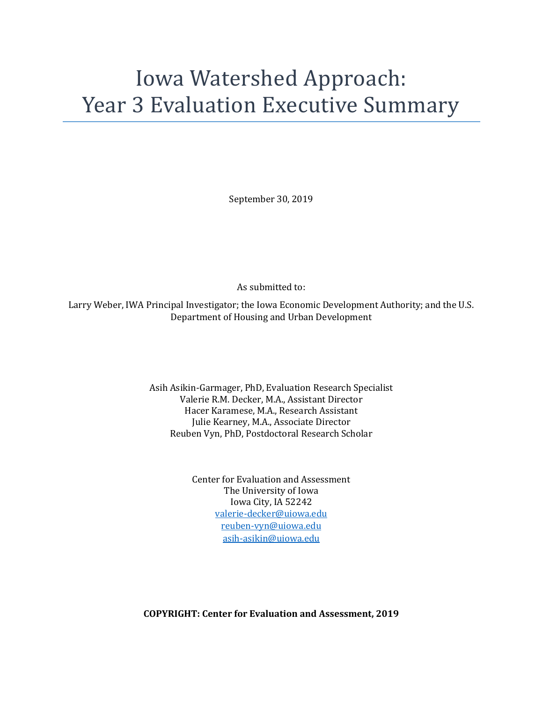# Iowa Watershed Approach: Year 3 Evaluation Executive Summary

September 30, 2019

As submitted to:

Larry Weber, IWA Principal Investigator; the Iowa Economic Development Authority; and the U.S. Department of Housing and Urban Development

> Asih Asikin-Garmager, PhD, Evaluation Research Specialist Valerie R.M. Decker, M.A., Assistant Director Hacer Karamese, M.A., Research Assistant Julie Kearney, M.A., Associate Director Reuben Vyn, PhD, Postdoctoral Research Scholar

> > Center for Evaluation and Assessment The University of Iowa Iowa City, IA 52242 [valerie-decker@uiowa.edu](mailto:valerie-decker@uiowa.edu) [reuben-vyn@uiowa.edu](mailto:reuben-vyn@uiowa.edu) [asih-asikin@uiowa.edu](mailto:asih-asikin@uiowa.edu)

**COPYRIGHT: Center for Evaluation and Assessment, 2019**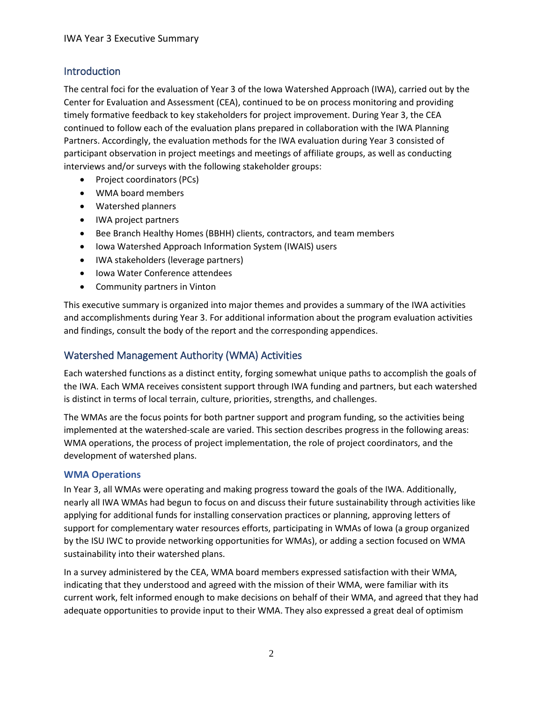## Introduction

The central foci for the evaluation of Year 3 of the Iowa Watershed Approach (IWA), carried out by the Center for Evaluation and Assessment (CEA), continued to be on process monitoring and providing timely formative feedback to key stakeholders for project improvement. During Year 3, the CEA continued to follow each of the evaluation plans prepared in collaboration with the IWA Planning Partners. Accordingly, the evaluation methods for the IWA evaluation during Year 3 consisted of participant observation in project meetings and meetings of affiliate groups, as well as conducting interviews and/or surveys with the following stakeholder groups:

- Project coordinators (PCs)
- WMA board members
- Watershed planners
- IWA project partners
- Bee Branch Healthy Homes (BBHH) clients, contractors, and team members
- Iowa Watershed Approach Information System (IWAIS) users
- IWA stakeholders (leverage partners)
- Iowa Water Conference attendees
- Community partners in Vinton

This executive summary is organized into major themes and provides a summary of the IWA activities and accomplishments during Year 3. For additional information about the program evaluation activities and findings, consult the body of the report and the corresponding appendices.

## Watershed Management Authority (WMA) Activities

Each watershed functions as a distinct entity, forging somewhat unique paths to accomplish the goals of the IWA. Each WMA receives consistent support through IWA funding and partners, but each watershed is distinct in terms of local terrain, culture, priorities, strengths, and challenges.

The WMAs are the focus points for both partner support and program funding, so the activities being implemented at the watershed-scale are varied. This section describes progress in the following areas: WMA operations, the process of project implementation, the role of project coordinators, and the development of watershed plans.

### **WMA Operations**

In Year 3, all WMAs were operating and making progress toward the goals of the IWA. Additionally, nearly all IWA WMAs had begun to focus on and discuss their future sustainability through activities like applying for additional funds for installing conservation practices or planning, approving letters of support for complementary water resources efforts, participating in WMAs of Iowa (a group organized by the ISU IWC to provide networking opportunities for WMAs), or adding a section focused on WMA sustainability into their watershed plans.

In a survey administered by the CEA, WMA board members expressed satisfaction with their WMA, indicating that they understood and agreed with the mission of their WMA, were familiar with its current work, felt informed enough to make decisions on behalf of their WMA, and agreed that they had adequate opportunities to provide input to their WMA. They also expressed a great deal of optimism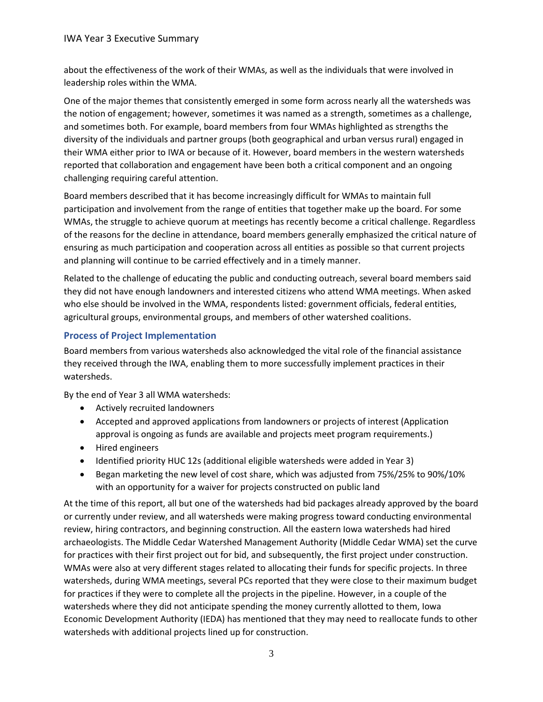#### IWA Year 3 Executive Summary

about the effectiveness of the work of their WMAs, as well as the individuals that were involved in leadership roles within the WMA.

One of the major themes that consistently emerged in some form across nearly all the watersheds was the notion of engagement; however, sometimes it was named as a strength, sometimes as a challenge, and sometimes both. For example, board members from four WMAs highlighted as strengths the diversity of the individuals and partner groups (both geographical and urban versus rural) engaged in their WMA either prior to IWA or because of it. However, board members in the western watersheds reported that collaboration and engagement have been both a critical component and an ongoing challenging requiring careful attention.

Board members described that it has become increasingly difficult for WMAs to maintain full participation and involvement from the range of entities that together make up the board. For some WMAs, the struggle to achieve quorum at meetings has recently become a critical challenge. Regardless of the reasons for the decline in attendance, board members generally emphasized the critical nature of ensuring as much participation and cooperation across all entities as possible so that current projects and planning will continue to be carried effectively and in a timely manner.

Related to the challenge of educating the public and conducting outreach, several board members said they did not have enough landowners and interested citizens who attend WMA meetings. When asked who else should be involved in the WMA, respondents listed: government officials, federal entities, agricultural groups, environmental groups, and members of other watershed coalitions.

### **Process of Project Implementation**

Board members from various watersheds also acknowledged the vital role of the financial assistance they received through the IWA, enabling them to more successfully implement practices in their watersheds.

By the end of Year 3 all WMA watersheds:

- Actively recruited landowners
- Accepted and approved applications from landowners or projects of interest (Application approval is ongoing as funds are available and projects meet program requirements.)
- Hired engineers
- Identified priority HUC 12s (additional eligible watersheds were added in Year 3)
- Began marketing the new level of cost share, which was adjusted from 75%/25% to 90%/10% with an opportunity for a waiver for projects constructed on public land

At the time of this report, all but one of the watersheds had bid packages already approved by the board or currently under review, and all watersheds were making progress toward conducting environmental review, hiring contractors, and beginning construction. All the eastern Iowa watersheds had hired archaeologists. The Middle Cedar Watershed Management Authority (Middle Cedar WMA) set the curve for practices with their first project out for bid, and subsequently, the first project under construction. WMAs were also at very different stages related to allocating their funds for specific projects. In three watersheds, during WMA meetings, several PCs reported that they were close to their maximum budget for practices if they were to complete all the projects in the pipeline. However, in a couple of the watersheds where they did not anticipate spending the money currently allotted to them, Iowa Economic Development Authority (IEDA) has mentioned that they may need to reallocate funds to other watersheds with additional projects lined up for construction.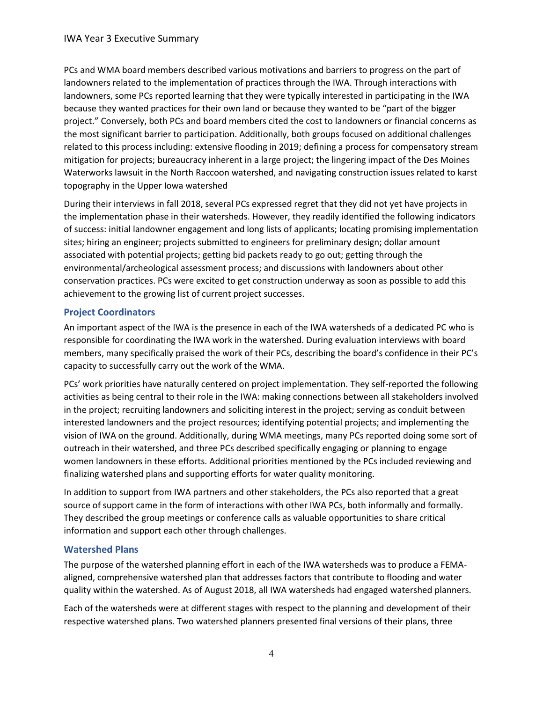PCs and WMA board members described various motivations and barriers to progress on the part of landowners related to the implementation of practices through the IWA. Through interactions with landowners, some PCs reported learning that they were typically interested in participating in the IWA because they wanted practices for their own land or because they wanted to be "part of the bigger project." Conversely, both PCs and board members cited the cost to landowners or financial concerns as the most significant barrier to participation. Additionally, both groups focused on additional challenges related to this process including: extensive flooding in 2019; defining a process for compensatory stream mitigation for projects; bureaucracy inherent in a large project; the lingering impact of the Des Moines Waterworks lawsuit in the North Raccoon watershed, and navigating construction issues related to karst topography in the Upper Iowa watershed

During their interviews in fall 2018, several PCs expressed regret that they did not yet have projects in the implementation phase in their watersheds. However, they readily identified the following indicators of success: initial landowner engagement and long lists of applicants; locating promising implementation sites; hiring an engineer; projects submitted to engineers for preliminary design; dollar amount associated with potential projects; getting bid packets ready to go out; getting through the environmental/archeological assessment process; and discussions with landowners about other conservation practices. PCs were excited to get construction underway as soon as possible to add this achievement to the growing list of current project successes.

## **Project Coordinators**

An important aspect of the IWA is the presence in each of the IWA watersheds of a dedicated PC who is responsible for coordinating the IWA work in the watershed. During evaluation interviews with board members, many specifically praised the work of their PCs, describing the board's confidence in their PC's capacity to successfully carry out the work of the WMA.

PCs' work priorities have naturally centered on project implementation. They self-reported the following activities as being central to their role in the IWA: making connections between all stakeholders involved in the project; recruiting landowners and soliciting interest in the project; serving as conduit between interested landowners and the project resources; identifying potential projects; and implementing the vision of IWA on the ground. Additionally, during WMA meetings, many PCs reported doing some sort of outreach in their watershed, and three PCs described specifically engaging or planning to engage women landowners in these efforts. Additional priorities mentioned by the PCs included reviewing and finalizing watershed plans and supporting efforts for water quality monitoring.

In addition to support from IWA partners and other stakeholders, the PCs also reported that a great source of support came in the form of interactions with other IWA PCs, both informally and formally. They described the group meetings or conference calls as valuable opportunities to share critical information and support each other through challenges.

### **Watershed Plans**

The purpose of the watershed planning effort in each of the IWA watersheds was to produce a FEMAaligned, comprehensive watershed plan that addresses factors that contribute to flooding and water quality within the watershed. As of August 2018, all IWA watersheds had engaged watershed planners.

Each of the watersheds were at different stages with respect to the planning and development of their respective watershed plans. Two watershed planners presented final versions of their plans, three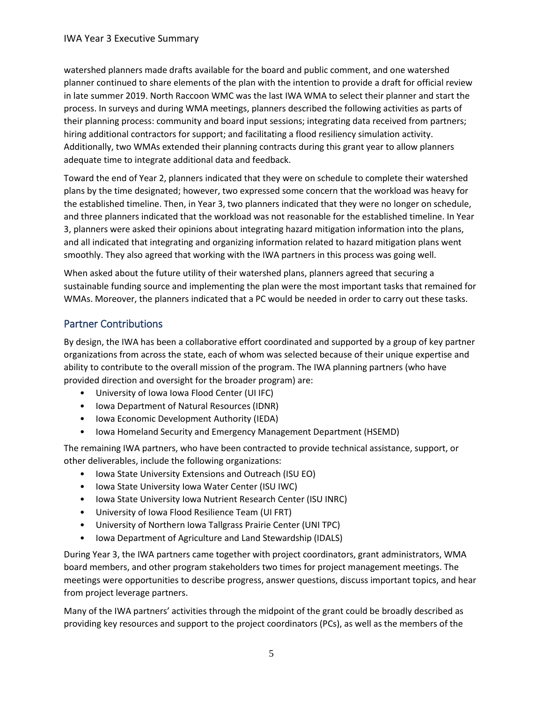watershed planners made drafts available for the board and public comment, and one watershed planner continued to share elements of the plan with the intention to provide a draft for official review in late summer 2019. North Raccoon WMC was the last IWA WMA to select their planner and start the process. In surveys and during WMA meetings, planners described the following activities as parts of their planning process: community and board input sessions; integrating data received from partners; hiring additional contractors for support; and facilitating a flood resiliency simulation activity. Additionally, two WMAs extended their planning contracts during this grant year to allow planners adequate time to integrate additional data and feedback.

Toward the end of Year 2, planners indicated that they were on schedule to complete their watershed plans by the time designated; however, two expressed some concern that the workload was heavy for the established timeline. Then, in Year 3, two planners indicated that they were no longer on schedule, and three planners indicated that the workload was not reasonable for the established timeline. In Year 3, planners were asked their opinions about integrating hazard mitigation information into the plans, and all indicated that integrating and organizing information related to hazard mitigation plans went smoothly. They also agreed that working with the IWA partners in this process was going well.

When asked about the future utility of their watershed plans, planners agreed that securing a sustainable funding source and implementing the plan were the most important tasks that remained for WMAs. Moreover, the planners indicated that a PC would be needed in order to carry out these tasks.

## Partner Contributions

By design, the IWA has been a collaborative effort coordinated and supported by a group of key partner organizations from across the state, each of whom was selected because of their unique expertise and ability to contribute to the overall mission of the program. The IWA planning partners (who have provided direction and oversight for the broader program) are:

- University of Iowa Iowa Flood Center (UI IFC)
- Iowa Department of Natural Resources (IDNR)
- Iowa Economic Development Authority (IEDA)
- Iowa Homeland Security and Emergency Management Department (HSEMD)

The remaining IWA partners, who have been contracted to provide technical assistance, support, or other deliverables, include the following organizations:

- Iowa State University Extensions and Outreach (ISU EO)
- Iowa State University Iowa Water Center (ISU IWC)
- Iowa State University Iowa Nutrient Research Center (ISU INRC)
- University of Iowa Flood Resilience Team (UI FRT)
- University of Northern Iowa Tallgrass Prairie Center (UNI TPC)
- Iowa Department of Agriculture and Land Stewardship (IDALS)

During Year 3, the IWA partners came together with project coordinators, grant administrators, WMA board members, and other program stakeholders two times for project management meetings. The meetings were opportunities to describe progress, answer questions, discuss important topics, and hear from project leverage partners.

Many of the IWA partners' activities through the midpoint of the grant could be broadly described as providing key resources and support to the project coordinators (PCs), as well as the members of the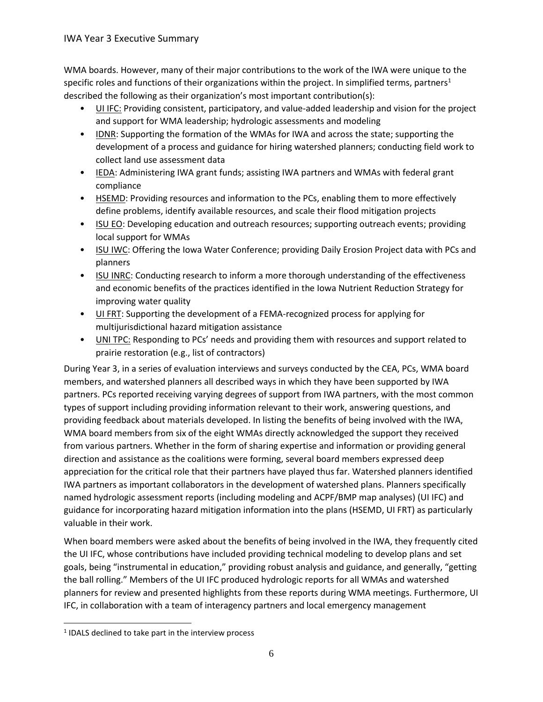WMA boards. However, many of their major contributions to the work of the IWA were unique to the specific roles and functions of their organizations within the project. In simplified terms, partners<sup>1</sup> described the following as their organization's most important contribution(s):

- UI IFC: Providing consistent, participatory, and value-added leadership and vision for the project and support for WMA leadership; hydrologic assessments and modeling
- IDNR: Supporting the formation of the WMAs for IWA and across the state; supporting the development of a process and guidance for hiring watershed planners; conducting field work to collect land use assessment data
- IEDA: Administering IWA grant funds; assisting IWA partners and WMAs with federal grant compliance
- HSEMD: Providing resources and information to the PCs, enabling them to more effectively define problems, identify available resources, and scale their flood mitigation projects
- ISU EO: Developing education and outreach resources; supporting outreach events; providing local support for WMAs
- ISU IWC: Offering the Iowa Water Conference; providing Daily Erosion Project data with PCs and planners
- ISU INRC: Conducting research to inform a more thorough understanding of the effectiveness and economic benefits of the practices identified in the Iowa Nutrient Reduction Strategy for improving water quality
- UI FRT: Supporting the development of a FEMA-recognized process for applying for multijurisdictional hazard mitigation assistance
- **UNI TPC:** Responding to PCs' needs and providing them with resources and support related to prairie restoration (e.g., list of contractors)

During Year 3, in a series of evaluation interviews and surveys conducted by the CEA, PCs, WMA board members, and watershed planners all described ways in which they have been supported by IWA partners. PCs reported receiving varying degrees of support from IWA partners, with the most common types of support including providing information relevant to their work, answering questions, and providing feedback about materials developed. In listing the benefits of being involved with the IWA, WMA board members from six of the eight WMAs directly acknowledged the support they received from various partners. Whether in the form of sharing expertise and information or providing general direction and assistance as the coalitions were forming, several board members expressed deep appreciation for the critical role that their partners have played thus far. Watershed planners identified IWA partners as important collaborators in the development of watershed plans. Planners specifically named hydrologic assessment reports (including modeling and ACPF/BMP map analyses) (UI IFC) and guidance for incorporating hazard mitigation information into the plans (HSEMD, UI FRT) as particularly valuable in their work.

When board members were asked about the benefits of being involved in the IWA, they frequently cited the UI IFC, whose contributions have included providing technical modeling to develop plans and set goals, being "instrumental in education," providing robust analysis and guidance, and generally, "getting the ball rolling." Members of the UI IFC produced hydrologic reports for all WMAs and watershed planners for review and presented highlights from these reports during WMA meetings. Furthermore, UI IFC, in collaboration with a team of interagency partners and local emergency management

l

 $1$  IDALS declined to take part in the interview process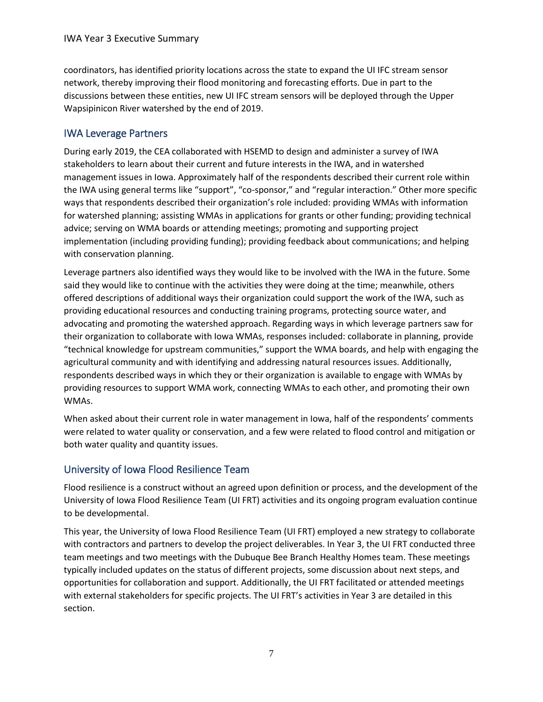coordinators, has identified priority locations across the state to expand the UI IFC stream sensor network, thereby improving their flood monitoring and forecasting efforts. Due in part to the discussions between these entities, new UI IFC stream sensors will be deployed through the Upper Wapsipinicon River watershed by the end of 2019.

## IWA Leverage Partners

During early 2019, the CEA collaborated with HSEMD to design and administer a survey of IWA stakeholders to learn about their current and future interests in the IWA, and in watershed management issues in Iowa. Approximately half of the respondents described their current role within the IWA using general terms like "support", "co-sponsor," and "regular interaction." Other more specific ways that respondents described their organization's role included: providing WMAs with information for watershed planning; assisting WMAs in applications for grants or other funding; providing technical advice; serving on WMA boards or attending meetings; promoting and supporting project implementation (including providing funding); providing feedback about communications; and helping with conservation planning.

Leverage partners also identified ways they would like to be involved with the IWA in the future. Some said they would like to continue with the activities they were doing at the time; meanwhile, others offered descriptions of additional ways their organization could support the work of the IWA, such as providing educational resources and conducting training programs, protecting source water, and advocating and promoting the watershed approach. Regarding ways in which leverage partners saw for their organization to collaborate with Iowa WMAs, responses included: collaborate in planning, provide "technical knowledge for upstream communities," support the WMA boards, and help with engaging the agricultural community and with identifying and addressing natural resources issues. Additionally, respondents described ways in which they or their organization is available to engage with WMAs by providing resources to support WMA work, connecting WMAs to each other, and promoting their own WMAs.

When asked about their current role in water management in Iowa, half of the respondents' comments were related to water quality or conservation, and a few were related to flood control and mitigation or both water quality and quantity issues.

## University of Iowa Flood Resilience Team

Flood resilience is a construct without an agreed upon definition or process, and the development of the University of Iowa Flood Resilience Team (UI FRT) activities and its ongoing program evaluation continue to be developmental.

This year, the University of Iowa Flood Resilience Team (UI FRT) employed a new strategy to collaborate with contractors and partners to develop the project deliverables. In Year 3, the UI FRT conducted three team meetings and two meetings with the Dubuque Bee Branch Healthy Homes team. These meetings typically included updates on the status of different projects, some discussion about next steps, and opportunities for collaboration and support. Additionally, the UI FRT facilitated or attended meetings with external stakeholders for specific projects. The UI FRT's activities in Year 3 are detailed in this section.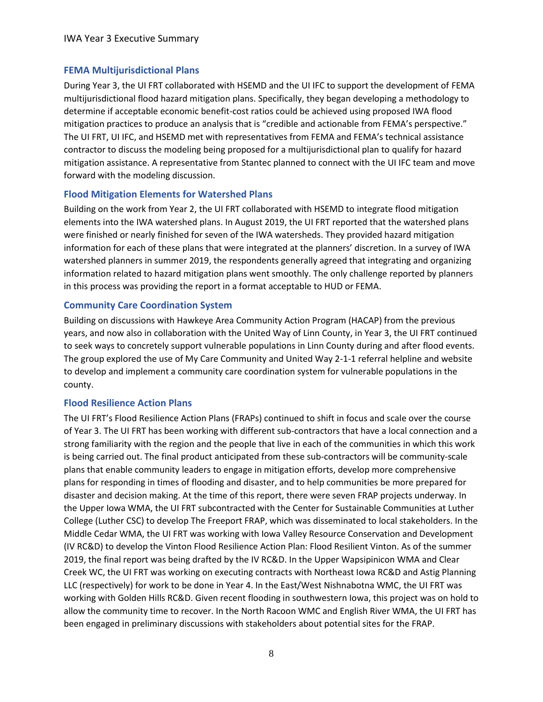## **FEMA Multijurisdictional Plans**

During Year 3, the UI FRT collaborated with HSEMD and the UI IFC to support the development of FEMA multijurisdictional flood hazard mitigation plans. Specifically, they began developing a methodology to determine if acceptable economic benefit-cost ratios could be achieved using proposed IWA flood mitigation practices to produce an analysis that is "credible and actionable from FEMA's perspective." The UI FRT, UI IFC, and HSEMD met with representatives from FEMA and FEMA's technical assistance contractor to discuss the modeling being proposed for a multijurisdictional plan to qualify for hazard mitigation assistance. A representative from Stantec planned to connect with the UI IFC team and move forward with the modeling discussion.

### **Flood Mitigation Elements for Watershed Plans**

Building on the work from Year 2, the UI FRT collaborated with HSEMD to integrate flood mitigation elements into the IWA watershed plans. In August 2019, the UI FRT reported that the watershed plans were finished or nearly finished for seven of the IWA watersheds. They provided hazard mitigation information for each of these plans that were integrated at the planners' discretion. In a survey of IWA watershed planners in summer 2019, the respondents generally agreed that integrating and organizing information related to hazard mitigation plans went smoothly. The only challenge reported by planners in this process was providing the report in a format acceptable to HUD or FEMA.

### **Community Care Coordination System**

Building on discussions with Hawkeye Area Community Action Program (HACAP) from the previous years, and now also in collaboration with the United Way of Linn County, in Year 3, the UI FRT continued to seek ways to concretely support vulnerable populations in Linn County during and after flood events. The group explored the use of My Care Community and United Way 2-1-1 referral helpline and website to develop and implement a community care coordination system for vulnerable populations in the county.

### **Flood Resilience Action Plans**

The UI FRT's Flood Resilience Action Plans (FRAPs) continued to shift in focus and scale over the course of Year 3. The UI FRT has been working with different sub-contractors that have a local connection and a strong familiarity with the region and the people that live in each of the communities in which this work is being carried out. The final product anticipated from these sub-contractors will be community-scale plans that enable community leaders to engage in mitigation efforts, develop more comprehensive plans for responding in times of flooding and disaster, and to help communities be more prepared for disaster and decision making. At the time of this report, there were seven FRAP projects underway. In the Upper Iowa WMA, the UI FRT subcontracted with the Center for Sustainable Communities at Luther College (Luther CSC) to develop The Freeport FRAP, which was disseminated to local stakeholders. In the Middle Cedar WMA, the UI FRT was working with Iowa Valley Resource Conservation and Development (IV RC&D) to develop the Vinton Flood Resilience Action Plan: Flood Resilient Vinton. As of the summer 2019, the final report was being drafted by the IV RC&D. In the Upper Wapsipinicon WMA and Clear Creek WC, the UI FRT was working on executing contracts with Northeast Iowa RC&D and Astig Planning LLC (respectively) for work to be done in Year 4. In the East/West Nishnabotna WMC, the UI FRT was working with Golden Hills RC&D. Given recent flooding in southwestern Iowa, this project was on hold to allow the community time to recover. In the North Racoon WMC and English River WMA, the UI FRT has been engaged in preliminary discussions with stakeholders about potential sites for the FRAP.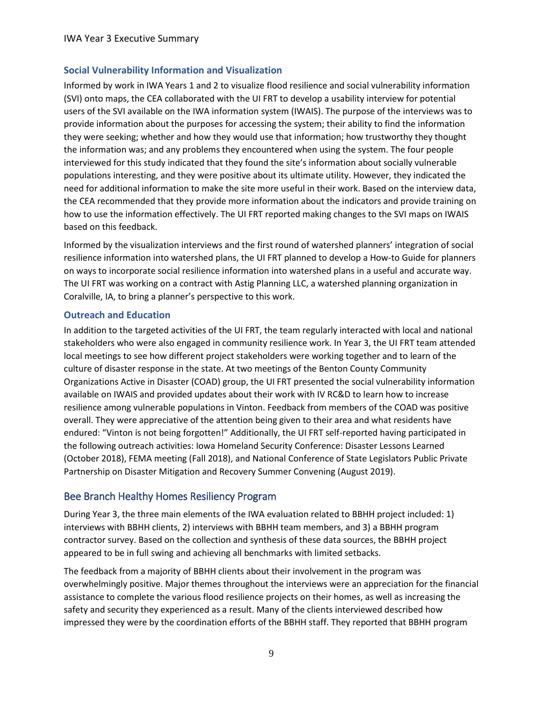## **Social Vulnerability Information and Visualization**

Informed by work in IWA Years 1 and 2 to visualize flood resilience and social vulnerability information (SVI) onto maps, the CEA collaborated with the UI FRT to develop a usability interview for potential users of the SVI available on the IWA information system (IWAIS). The purpose of the interviews was to provide information about the purposes for accessing the system; their ability to find the information they were seeking; whether and how they would use that information; how trustworthy they thought the information was; and any problems they encountered when using the system. The four people interviewed for this study indicated that they found the site's information about socially vulnerable populations interesting, and they were positive about its ultimate utility. However, they indicated the need for additional information to make the site more useful in their work. Based on the interview data, the CEA recommended that they provide more information about the indicators and provide training on how to use the information effectively. The UI FRT reported making changes to the SVI maps on IWAIS based on this feedback.

Informed by the visualization interviews and the first round of watershed planners' integration of social resilience information into watershed plans, the UI FRT planned to develop a How-to Guide for planners on ways to incorporate social resilience information into watershed plans in a useful and accurate way. The UI FRT was working on a contract with Astig Planning LLC, a watershed planning organization in Coralville, IA, to bring a planner's perspective to this work.

### **Outreach and Education**

In addition to the targeted activities of the UI FRT, the team regularly interacted with local and national stakeholders who were also engaged in community resilience work. In Year 3, the UI FRT team attended local meetings to see how different project stakeholders were working together and to learn of the culture of disaster response in the state. At two meetings of the Benton County Community Organizations Active in Disaster (COAD) group, the UI FRT presented the social vulnerability information available on IWAIS and provided updates about their work with IV RC&D to learn how to increase resilience among vulnerable populations in Vinton. Feedback from members of the COAD was positive overall. They were appreciative of the attention being given to their area and what residents have endured: "Vinton is not being forgotten!" Additionally, the UI FRT self-reported having participated in the following outreach activities: Iowa Homeland Security Conference: Disaster Lessons Learned (October 2018), FEMA meeting (Fall 2018), and National Conference of State Legislators Public Private Partnership on Disaster Mitigation and Recovery Summer Convening (August 2019).

## Bee Branch Healthy Homes Resiliency Program

During Year 3, the three main elements of the IWA evaluation related to BBHH project included: 1) interviews with BBHH clients, 2) interviews with BBHH team members, and 3) a BBHH program contractor survey. Based on the collection and synthesis of these data sources, the BBHH project appeared to be in full swing and achieving all benchmarks with limited setbacks.

The feedback from a majority of BBHH clients about their involvement in the program was overwhelmingly positive. Major themes throughout the interviews were an appreciation for the financial assistance to complete the various flood resilience projects on their homes, as well as increasing the safety and security they experienced as a result. Many of the clients interviewed described how impressed they were by the coordination efforts of the BBHH staff. They reported that BBHH program